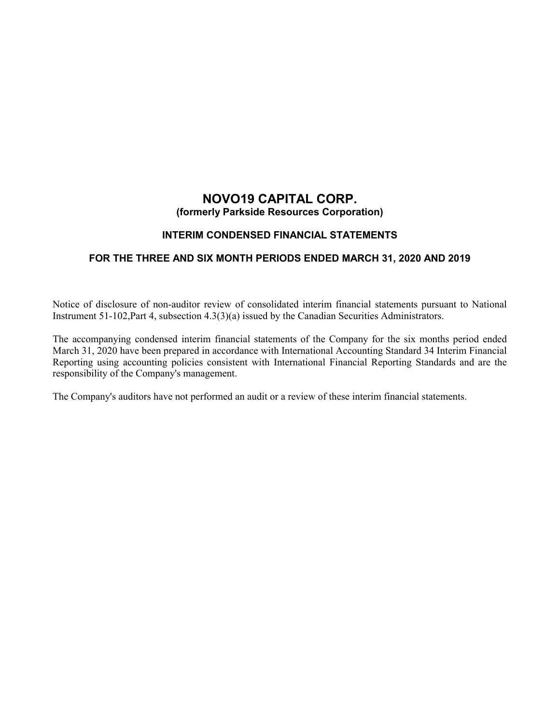# **NOVO19 CAPITAL CORP. (formerly Parkside Resources Corporation)**

# **INTERIM CONDENSED FINANCIAL STATEMENTS**

# **FOR THE THREE AND SIX MONTH PERIODS ENDED MARCH 31, 2020 AND 2019**

Notice of disclosure of non-auditor review of consolidated interim financial statements pursuant to National Instrument 51-102,Part 4, subsection 4.3(3)(a) issued by the Canadian Securities Administrators.

The accompanying condensed interim financial statements of the Company for the six months period ended March 31, 2020 have been prepared in accordance with International Accounting Standard 34 Interim Financial Reporting using accounting policies consistent with International Financial Reporting Standards and are the responsibility of the Company's management.

The Company's auditors have not performed an audit or a review of these interim financial statements.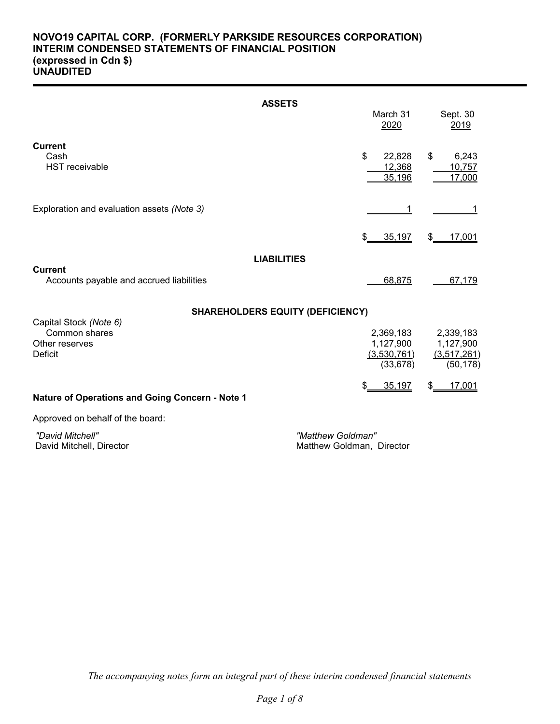# **NOVO19 CAPITAL CORP. (FORMERLY PARKSIDE RESOURCES CORPORATION) INTERIM CONDENSED STATEMENTS OF FINANCIAL POSITION (expressed in Cdn \$) UNAUDITED**

| <b>ASSETS</b>                                                     |                                  |                                 |
|-------------------------------------------------------------------|----------------------------------|---------------------------------|
|                                                                   | March 31<br>2020                 | Sept. 30<br>2019                |
| <b>Current</b><br>Cash<br><b>HST</b> receivable                   | \$<br>22,828<br>12,368<br>35,196 | \$<br>6,243<br>10,757<br>17,000 |
| Exploration and evaluation assets (Note 3)                        |                                  |                                 |
|                                                                   | \$<br>35,197                     | 17,001<br>\$                    |
| <b>LIABILITIES</b>                                                |                                  |                                 |
| <b>Current</b><br>Accounts payable and accrued liabilities        | 68,875                           | 67,179                          |
| <b>SHAREHOLDERS EQUITY (DEFICIENCY)</b><br>Capital Stock (Note 6) |                                  |                                 |
| Common shares                                                     | 2,369,183                        | 2,339,183                       |
| Other reserves<br>Deficit                                         | 1,127,900<br>(3,530,761)         | 1,127,900<br>(3,517,261)        |
|                                                                   | (33, 678)                        | (50, 178)                       |
| Nature of Operations and Going Concern - Note 1                   | 35,197                           | \$<br>17,001                    |

Approved on behalf of the board:

 *"David Mitchell" "Matthew Goldman"*

Matthew Goldman, Director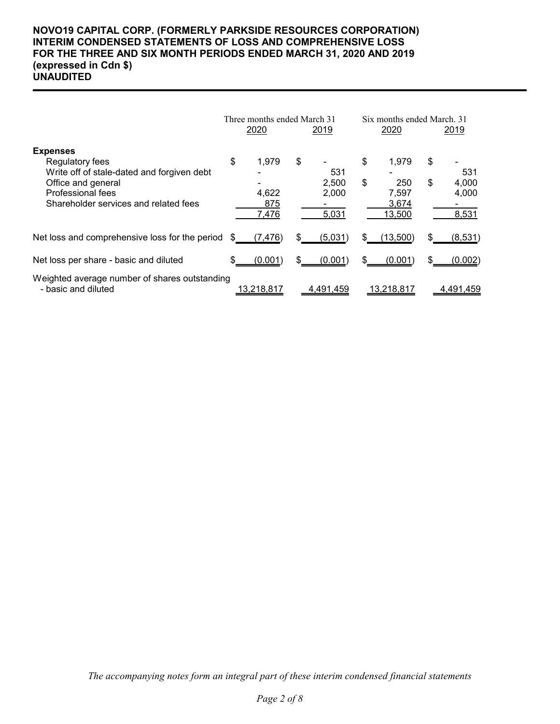# **NOVO19 CAPITAL CORP. (FORMERLY PARKSIDE RESOURCES CORPORATION) INTERIM CONDENSED STATEMENTS OF LOSS AND COMPREHENSIVE LOSS FOR THE THREE AND SIX MONTH PERIODS ENDED MARCH 31, 2020 AND 2019 (expressed in Cdn \$) UNAUDITED**

|                                                                                         |    | Three months ended March 31<br>2020 |    | <u> 2019</u>            |    | Six months ended March, 31<br>2020 |    | <u> 2019 </u>           |  |
|-----------------------------------------------------------------------------------------|----|-------------------------------------|----|-------------------------|----|------------------------------------|----|-------------------------|--|
| <b>Expenses</b>                                                                         |    |                                     |    |                         |    |                                    |    |                         |  |
| Regulatory fees<br>Write off of stale-dated and forgiven debt                           | \$ | 1,979                               | \$ | 531                     | \$ | 1,979                              | \$ | 531                     |  |
| Office and general<br><b>Professional fees</b><br>Shareholder services and related fees |    | 4,622<br>875<br>7,476               |    | 2,500<br>2,000<br>5,031 | \$ | 250<br>7,597<br>3,674<br>13,500    | \$ | 4,000<br>4,000<br>8,531 |  |
| Net loss and comprehensive loss for the period                                          |    | (7,476)                             |    | (5,031)                 | S. | (13,500)                           |    | (8,531)                 |  |
| Net loss per share - basic and diluted                                                  |    | (0.001)                             | \$ | (0.001)                 |    | (0.001)                            | \$ | (0.002)                 |  |
| Weighted average number of shares outstanding<br>- basic and diluted                    |    | 13,218,817                          |    | 4,491,459               |    | 13,218,817                         |    | 4.491.459               |  |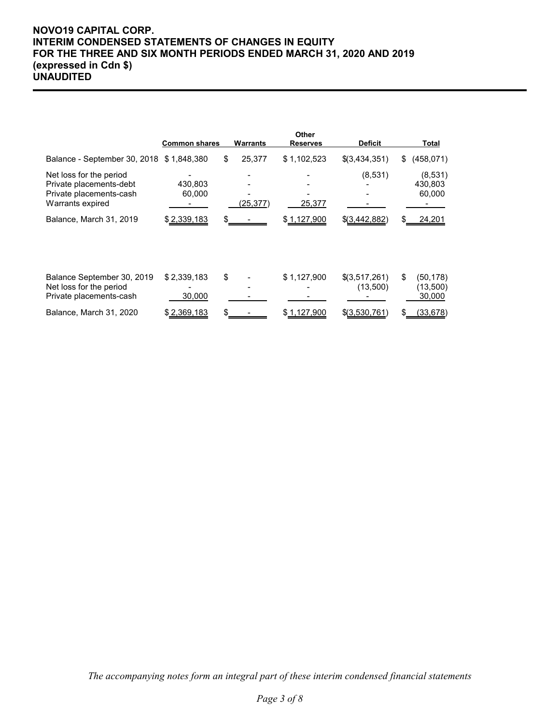# **NOVO19 CAPITAL CORP. INTERIM CONDENSED STATEMENTS OF CHANGES IN EQUITY FOR THE THREE AND SIX MONTH PERIODS ENDED MARCH 31, 2020 AND 2019 (expressed in Cdn \$) UNAUDITED**

|                                                                                                   | <b>Common shares</b>  | Warrants     | Other<br><b>Reserves</b> | <b>Deficit</b>            |    | <b>Total</b>                    |
|---------------------------------------------------------------------------------------------------|-----------------------|--------------|--------------------------|---------------------------|----|---------------------------------|
| Balance - September 30, 2018 \$1,848,380                                                          |                       | \$<br>25,377 | \$1,102,523              | \$(3,434,351)             | \$ | (458, 071)                      |
| Net loss for the period<br>Private placements-debt<br>Private placements-cash<br>Warrants expired | 430.803<br>60,000     | (25,377)     | 25,377                   | (8,531)                   |    | (8,531)<br>430,803<br>60,000    |
| Balance, March 31, 2019                                                                           | \$2,339,183           |              | \$1,127,900              | \$(3,442,882)             | S  | 24,201                          |
| Balance September 30, 2019<br>Net loss for the period<br>Private placements-cash                  | \$2,339,183<br>30,000 | \$           | \$1,127,900              | \$(3,517,261)<br>(13,500) | \$ | (50, 178)<br>(13,500)<br>30,000 |
| Balance, March 31, 2020                                                                           | \$2,369,183           |              | \$1,127,900              | \$(3,530,761)             | S  | (33, 678)                       |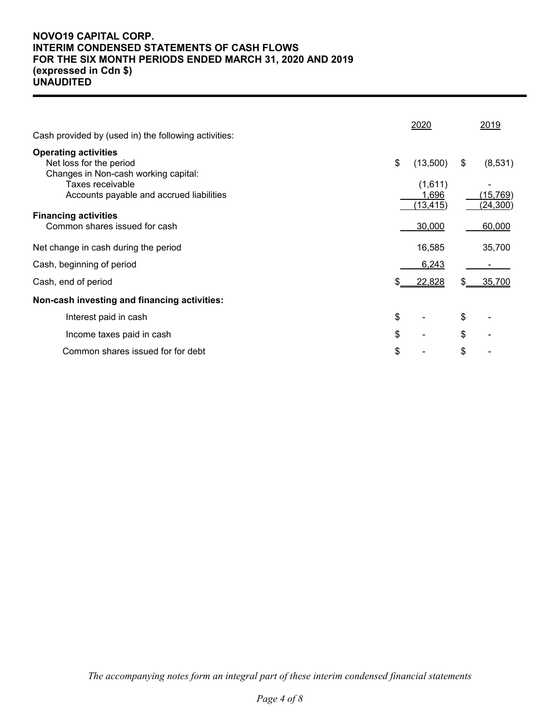# **NOVO19 CAPITAL CORP. INTERIM CONDENSED STATEMENTS OF CASH FLOWS FOR THE SIX MONTH PERIODS ENDED MARCH 31, 2020 AND 2019 (expressed in Cdn \$) UNAUDITED**

| Cash provided by (used in) the following activities:         |    | 2020                          |    | 2019                   |
|--------------------------------------------------------------|----|-------------------------------|----|------------------------|
| <b>Operating activities</b><br>Net loss for the period       | \$ | (13,500)                      | \$ | (8,531)                |
| Changes in Non-cash working capital:                         |    |                               |    |                        |
| Taxes receivable<br>Accounts payable and accrued liabilities |    | (1,611)<br>1,696<br>(13, 415) |    | (15, 769)<br>(24, 300) |
| <b>Financing activities</b>                                  |    |                               |    |                        |
| Common shares issued for cash                                |    | 30,000                        |    | 60,000                 |
| Net change in cash during the period                         |    | 16,585                        |    | 35,700                 |
| Cash, beginning of period                                    |    | 6,243                         |    |                        |
| Cash, end of period                                          | S. | 22,828                        | S. | 35,700                 |
| Non-cash investing and financing activities:                 |    |                               |    |                        |
| Interest paid in cash                                        | \$ |                               | \$ |                        |
| Income taxes paid in cash                                    | \$ |                               | \$ |                        |
| Common shares issued for for debt                            | \$ |                               | \$ |                        |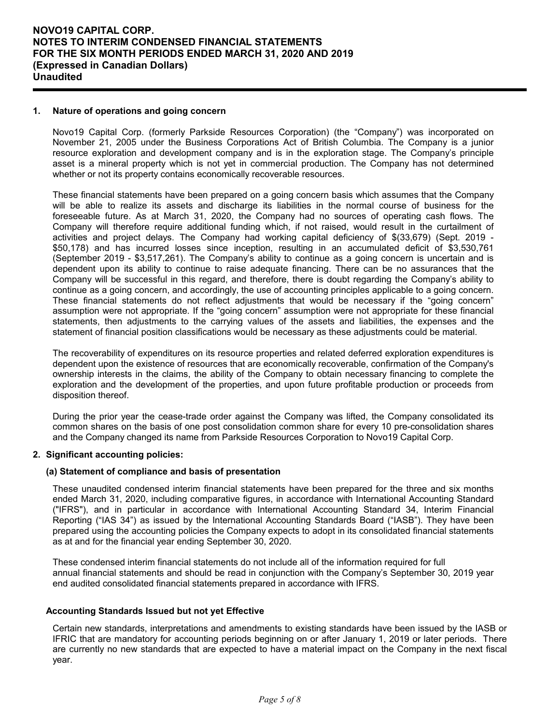### **1. Nature of operations and going concern**

Novo19 Capital Corp. (formerly Parkside Resources Corporation) (the "Company") was incorporated on November 21, 2005 under the Business Corporations Act of British Columbia. The Company is a junior resource exploration and development company and is in the exploration stage. The Company's principle asset is a mineral property which is not yet in commercial production. The Company has not determined whether or not its property contains economically recoverable resources.

These financial statements have been prepared on a going concern basis which assumes that the Company will be able to realize its assets and discharge its liabilities in the normal course of business for the foreseeable future. As at March 31, 2020, the Company had no sources of operating cash flows. The Company will therefore require additional funding which, if not raised, would result in the curtailment of activities and project delays. The Company had working capital deficiency of \$(33,679) (Sept. 2019 - \$50,178) and has incurred losses since inception, resulting in an accumulated deficit of \$3,530,761 (September 2019 - \$3,517,261). The Company's ability to continue as a going concern is uncertain and is dependent upon its ability to continue to raise adequate financing. There can be no assurances that the Company will be successful in this regard, and therefore, there is doubt regarding the Company's ability to continue as a going concern, and accordingly, the use of accounting principles applicable to a going concern. These financial statements do not reflect adjustments that would be necessary if the "going concern" assumption were not appropriate. If the "going concern" assumption were not appropriate for these financial statements, then adjustments to the carrying values of the assets and liabilities, the expenses and the statement of financial position classifications would be necessary as these adjustments could be material.

The recoverability of expenditures on its resource properties and related deferred exploration expenditures is dependent upon the existence of resources that are economically recoverable, confirmation of the Company's ownership interests in the claims, the ability of the Company to obtain necessary financing to complete the exploration and the development of the properties, and upon future profitable production or proceeds from disposition thereof.

During the prior year the cease-trade order against the Company was lifted, the Company consolidated its common shares on the basis of one post consolidation common share for every 10 pre-consolidation shares and the Company changed its name from Parkside Resources Corporation to Novo19 Capital Corp.

### **2. Significant accounting policies:**

#### **(a) Statement of compliance and basis of presentation**

These unaudited condensed interim financial statements have been prepared for the three and six months ended March 31, 2020, including comparative figures, in accordance with International Accounting Standard ("IFRS"), and in particular in accordance with International Accounting Standard 34, Interim Financial Reporting ("IAS 34") as issued by the International Accounting Standards Board ("IASB"). They have been prepared using the accounting policies the Company expects to adopt in its consolidated financial statements as at and for the financial year ending September 30, 2020.

These condensed interim financial statements do not include all of the information required for full annual financial statements and should be read in conjunction with the Company's September 30, 2019 year end audited consolidated financial statements prepared in accordance with IFRS.

#### **Accounting Standards Issued but not yet Effective**

Certain new standards, interpretations and amendments to existing standards have been issued by the IASB or IFRIC that are mandatory for accounting periods beginning on or after January 1, 2019 or later periods. There are currently no new standards that are expected to have a material impact on the Company in the next fiscal year.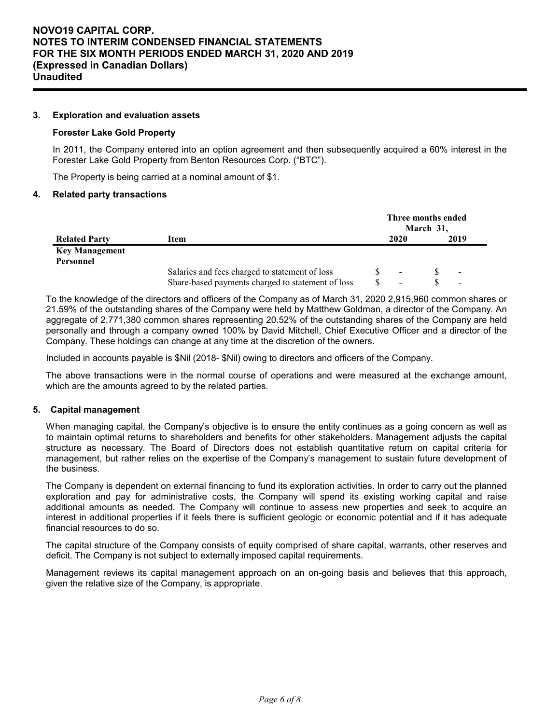### **3. Exploration and evaluation assets**

#### **Forester Lake Gold Property**

In 2011, the Company entered into an option agreement and then subsequently acquired a 60% interest in the Forester Lake Gold Property from Benton Resources Corp. ("BTC").

The Property is being carried at a nominal amount of \$1.

#### **4. Related party transactions**

|                       | Three months ended<br>March 31,                   |  |      |  |                          |  |  |
|-----------------------|---------------------------------------------------|--|------|--|--------------------------|--|--|
| <b>Related Party</b>  | Item                                              |  | 2020 |  | 2019                     |  |  |
| <b>Key Management</b> |                                                   |  |      |  |                          |  |  |
| Personnel             |                                                   |  |      |  |                          |  |  |
|                       | Salaries and fees charged to statement of loss    |  |      |  | $\overline{\phantom{a}}$ |  |  |
|                       | Share-based payments charged to statement of loss |  | ۰    |  | $\overline{\phantom{a}}$ |  |  |

To the knowledge of the directors and officers of the Company as of March 31, 2020 2,915,960 common shares or 21.59% of the outstanding shares of the Company were held by Matthew Goldman, a director of the Company. An aggregate of 2,771,380 common shares representing 20.52% of the outstanding shares of the Company are held personally and through a company owned 100% by David Mitchell, Chief Executive Officer and a director of the Company. These holdings can change at any time at the discretion of the owners.

Included in accounts payable is \$Nil (2018- \$Nil) owing to directors and officers of the Company.

The above transactions were in the normal course of operations and were measured at the exchange amount, which are the amounts agreed to by the related parties.

### **5. Capital management**

When managing capital, the Company's objective is to ensure the entity continues as a going concern as well as to maintain optimal returns to shareholders and benefits for other stakeholders. Management adjusts the capital structure as necessary. The Board of Directors does not establish quantitative return on capital criteria for management, but rather relies on the expertise of the Company's management to sustain future development of the business.

The Company is dependent on external financing to fund its exploration activities. In order to carry out the planned exploration and pay for administrative costs, the Company will spend its existing working capital and raise additional amounts as needed. The Company will continue to assess new properties and seek to acquire an interest in additional properties if it feels there is sufficient geologic or economic potential and if it has adequate financial resources to do so.

The capital structure of the Company consists of equity comprised of share capital, warrants, other reserves and deficit. The Company is not subject to externally imposed capital requirements.

Management reviews its capital management approach on an on-going basis and believes that this approach, given the relative size of the Company, is appropriate.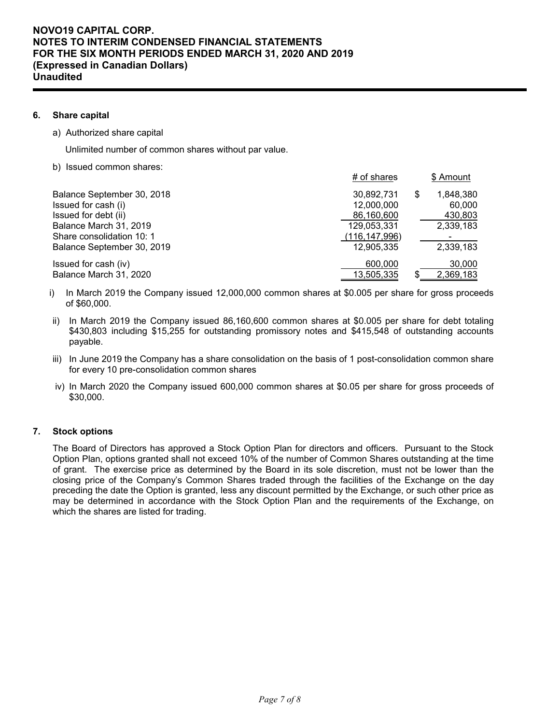### **6. Share capital**

a) Authorized share capital

Unlimited number of common shares without par value.

b) Issued common shares:

|                            | # of shares   | \$ Amount       |
|----------------------------|---------------|-----------------|
| Balance September 30, 2018 | 30,892,731    | \$<br>1,848,380 |
| Issued for cash (i)        | 12,000,000    | 60,000          |
| Issued for debt (ii)       | 86,160,600    | 430,803         |
| Balance March 31, 2019     | 129,053,331   | 2,339,183       |
| Share consolidation 10: 1  | (116,147,996) |                 |
| Balance September 30, 2019 | 12,905,335    | 2,339,183       |
| Issued for cash (iv)       | 600,000       | 30,000          |
| Balance March 31, 2020     | 13,505,335    | 2,369,183       |

- i) In March 2019 the Company issued 12,000,000 common shares at \$0.005 per share for gross proceeds of \$60,000.
- ii) In March 2019 the Company issued 86,160,600 common shares at \$0.005 per share for debt totaling \$430,803 including \$15,255 for outstanding promissory notes and \$415,548 of outstanding accounts payable.
- iii) In June 2019 the Company has a share consolidation on the basis of 1 post-consolidation common share for every 10 pre-consolidation common shares
- iv) In March 2020 the Company issued 600,000 common shares at \$0.05 per share for gross proceeds of \$30,000.

## **7. Stock options**

The Board of Directors has approved a Stock Option Plan for directors and officers. Pursuant to the Stock Option Plan, options granted shall not exceed 10% of the number of Common Shares outstanding at the time of grant. The exercise price as determined by the Board in its sole discretion, must not be lower than the closing price of the Company's Common Shares traded through the facilities of the Exchange on the day preceding the date the Option is granted, less any discount permitted by the Exchange, or such other price as may be determined in accordance with the Stock Option Plan and the requirements of the Exchange, on which the shares are listed for trading.